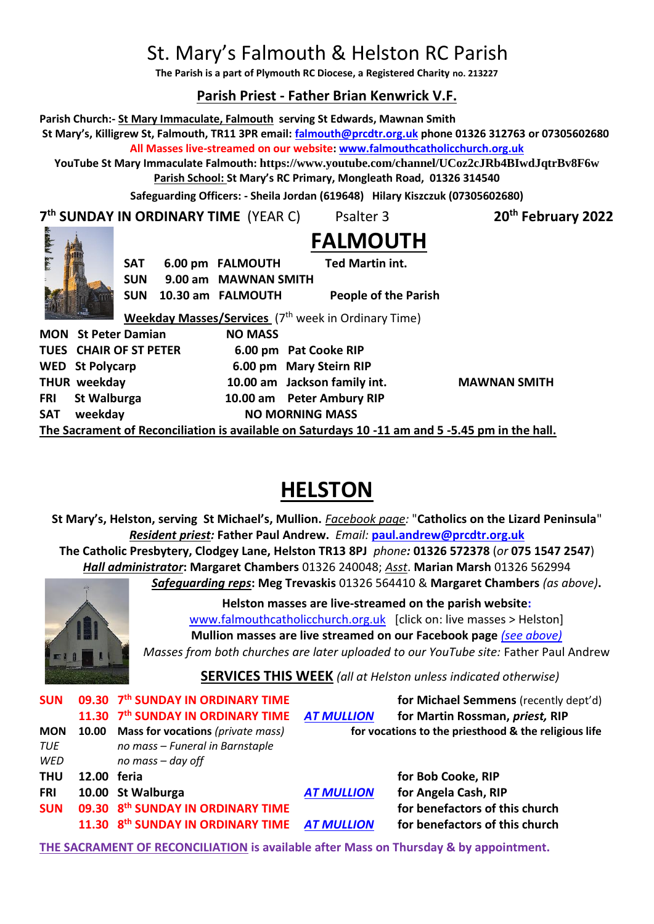# St. Mary's Falmouth & Helston RC Parish

**The Parish is a part of Plymouth RC Diocese, a Registered Charity no. 213227**

# **Parish Priest - Father Brian Kenwrick V.F.**

**Parish Church:- St Mary Immaculate, Falmouth serving St Edwards, Mawnan Smith St Mary's, Killigrew St, Falmouth, TR11 3PR email: [falmouth@prcdtr.org.uk](mailto:falmouth@prcdtr.org.uk) phone 01326 312763 or 07305602680**

**All Masses live-streamed on our website[: www.falmouthcatholicchurch.org.uk](http://www.falmouthcatholicchurch.org.uk/)**

**YouTube St Mary Immaculate Falmouth: <https://www.youtube.com/channel/UCoz2cJRb4BIwdJqtrBv8F6w> Parish School: St Mary's RC Primary, Mongleath Road, 01326 314540**

**Safeguarding Officers: - Sheila Jordan (619648) Hilary Kiszczuk (07305602680)**

**7 th SUNDAY IN ORDINARY TIME** (YEAR C) Psalter 3 **20th February 2022**



**FALMOUTH SAT 6.00 pm FALMOUTH Ted Martin int. SUN 9.00 am MAWNAN SMITH SUN 10.30 am FALMOUTH People of the Parish** 

**Weekday Masses/Services** (7<sup>th</sup> week in Ordinary Time)

**MON** St Peter Damian **NO MASS TUES CHAIR OF ST PETER 6.00 pm Pat Cooke RIP WED St Polycarp 6.00 pm Mary Steirn RIP THUR weekday 10.00 am Jackson family int. MAWNAN SMITH FRI St Walburga 10.00 am Peter Ambury RIP** SAT weekday **NO MORNING MASS** 

**The Sacrament of Reconciliation is available on Saturdays 10 -11 am and 5 -5.45 pm in the hall.**

# **HELSTON**

**St Mary's, Helston, serving St Michael's, Mullion.** *Facebook page:* "**Catholics on the Lizard Peninsula**" *Resident priest:* **Father Paul Andrew.** *Email:* **[paul.andrew@prcdtr.org.uk](mailto:paul.andrew@prcdtr.org.uk) The Catholic Presbytery, Clodgey Lane, Helston TR13 8PJ** *phone:* **01326 572378** (*or* **075 1547 2547**) *Hall administrator***: Margaret Chambers** 01326 240048; *Asst*. **Marian Marsh** 01326 562994 *Safeguarding reps***: Meg Trevaskis** 01326 564410 & **Margaret Chambers** *(as above)***.** 



**Helston masses are live-streamed on the parish website:**  [www.falmouthcatholicchurch.org.uk](http://www.falmouthcatholicchurch.org.uk/) [click on: live masses > Helston] **Mullion masses are live streamed on our Facebook page** *(see above) Masses from both churches are later uploaded to our YouTube site:* Father Paul Andrew

# **SERVICES THIS WEEK** *(all at Helston unless indicated otherwise)*

|            |             | SUN 09.30 7 <sup>th</sup> SUNDAY IN ORDINARY TIME        |                                                      | for Michael Semmens (recently dept'd) |
|------------|-------------|----------------------------------------------------------|------------------------------------------------------|---------------------------------------|
|            |             | 11.30 7th SUNDAY IN ORDINARY TIME AT MULLION             |                                                      | for Martin Rossman, priest, RIP       |
| <b>MON</b> | 10.00       | <b>Mass for vocations</b> (private mass)                 | for vocations to the priesthood & the religious life |                                       |
| TUE        |             | no mass - Funeral in Barnstaple                          |                                                      |                                       |
| WED        |             | no mass - day off                                        |                                                      |                                       |
| <b>THU</b> | 12.00 feria |                                                          |                                                      | for Bob Cooke, RIP                    |
| <b>FRI</b> |             | 10.00 St Walburga                                        | <b>AT MULLION</b>                                    | for Angela Cash, RIP                  |
| <b>SUN</b> |             | 09.30 8th SUNDAY IN ORDINARY TIME                        |                                                      | for benefactors of this church        |
|            |             | 11.30 8 <sup>th</sup> SUNDAY IN ORDINARY TIME AT MULLION |                                                      | for benefactors of this church        |
|            |             |                                                          |                                                      |                                       |

**THE SACRAMENT OF RECONCILIATION is available after Mass on Thursday & by appointment.**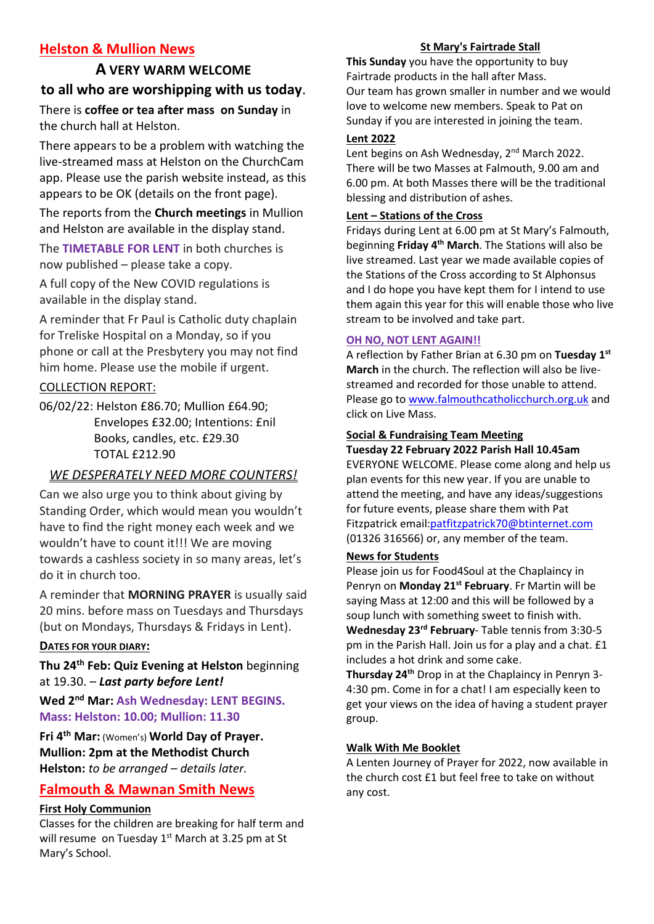# **Helston & Mullion News**

# **A VERY WARM WELCOME to all who are worshipping with us today**.

There is **coffee or tea after mass on Sunday** in the church hall at Helston.

There appears to be a problem with watching the live-streamed mass at Helston on the ChurchCam app. Please use the parish website instead, as this appears to be OK (details on the front page).

The reports from the **Church meetings** in Mullion and Helston are available in the display stand.

The **TIMETABLE FOR LENT** in both churches is now published – please take a copy.

A full copy of the New COVID regulations is available in the display stand.

A reminder that Fr Paul is Catholic duty chaplain for Treliske Hospital on a Monday, so if you phone or call at the Presbytery you may not find him home. Please use the mobile if urgent.

### COLLECTION REPORT:

06/02/22: Helston £86.70; Mullion £64.90; Envelopes £32.00; Intentions: £nil Books, candles, etc. £29.30 TOTAL £212.90

# *WE DESPERATELY NEED MORE COUNTERS!*

Can we also urge you to think about giving by Standing Order, which would mean you wouldn't have to find the right money each week and we wouldn't have to count it!!! We are moving towards a cashless society in so many areas, let's do it in church too.

A reminder that **MORNING PRAYER** is usually said 20 mins. before mass on Tuesdays and Thursdays (but on Mondays, Thursdays & Fridays in Lent).

#### **DATES FOR YOUR DIARY:**

**Thu 24th Feb: Quiz Evening at Helston** beginning at 19.30. – *Last party before Lent!*

**Wed 2nd Mar: Ash Wednesday: LENT BEGINS. Mass: Helston: 10.00; Mullion: 11.30**

**Fri 4th Mar:** (Women's) **World Day of Prayer. Mullion: 2pm at the Methodist Church Helston:** *to be arranged – details later.*

# **Falmouth & Mawnan Smith News**

#### **First Holy Communion**

Classes for the children are breaking for half term and will resume on Tuesday 1<sup>st</sup> March at 3.25 pm at St Mary's School.

#### **St Mary's Fairtrade Stall**

**This Sunday** you have the opportunity to buy Fairtrade products in the hall after Mass. Our team has grown smaller in number and we would love to welcome new members. Speak to Pat on Sunday if you are interested in joining the team.

#### **Lent 2022**

Lent begins on Ash Wednesday, 2<sup>nd</sup> March 2022. There will be two Masses at Falmouth, 9.00 am and 6.00 pm. At both Masses there will be the traditional blessing and distribution of ashes.

#### **Lent – Stations of the Cross**

Fridays during Lent at 6.00 pm at St Mary's Falmouth, beginning **Friday 4th March**. The Stations will also be live streamed. Last year we made available copies of the Stations of the Cross according to St Alphonsus and I do hope you have kept them for I intend to use them again this year for this will enable those who live stream to be involved and take part.

#### **OH NO, NOT LENT AGAIN!!**

A reflection by Father Brian at 6.30 pm on **Tuesday 1st March** in the church. The reflection will also be livestreamed and recorded for those unable to attend. Please go to [www.falmouthcatholicchurch.org.uk](http://www.falmouthcatholicchurch.org.uk/) and click on Live Mass.

#### **Social & Fundraising Team Meeting**

**Tuesday 22 February 2022 Parish Hall 10.45am** EVERYONE WELCOME. Please come along and help us plan events for this new year. If you are unable to attend the meeting, and have any ideas/suggestions for future events, please share them with Pat Fitzpatrick emai[l:patfitzpatrick70@btinternet.com](mailto:patfitzpatrick70@btinternet.com)

(01326 316566) or, any member of the team.

#### **News for Students**

Please join us for Food4Soul at the Chaplaincy in Penryn on **Monday 21st February**. Fr Martin will be saying Mass at 12:00 and this will be followed by a soup lunch with something sweet to finish with. **Wednesday 23rd February**- Table tennis from 3:30-5 pm in the Parish Hall. Join us for a play and a chat. £1 includes a hot drink and some cake.

**Thursday 24th** Drop in at the Chaplaincy in Penryn 3- 4:30 pm. Come in for a chat! I am especially keen to get your views on the idea of having a student prayer group.

#### **Walk With Me Booklet**

A Lenten Journey of Prayer for 2022, now available in the church cost £1 but feel free to take on without any cost.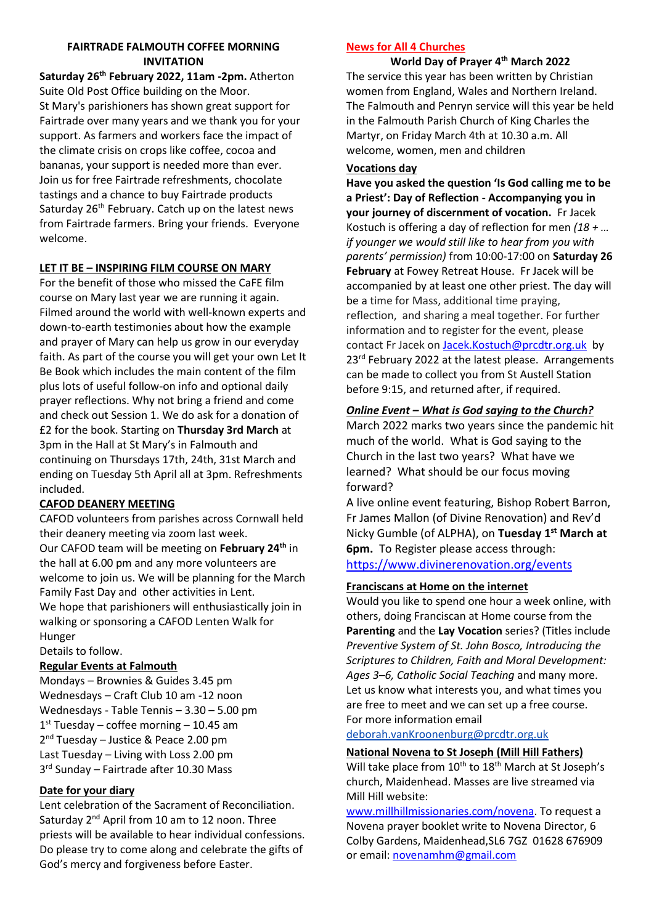#### **FAIRTRADE FALMOUTH COFFEE MORNING INVITATION**

**Saturday 26th February 2022, 11am -2pm.** Atherton Suite Old Post Office building on the Moor. St Mary's parishioners has shown great support for Fairtrade over many years and we thank you for your support. As farmers and workers face the impact of the climate crisis on crops like coffee, cocoa and bananas, your support is needed more than ever. Join us for free Fairtrade refreshments, chocolate tastings and a chance to buy Fairtrade products Saturday 26<sup>th</sup> February. Catch up on the latest news from Fairtrade farmers. Bring your friends. Everyone welcome.

#### **LET IT BE – INSPIRING FILM COURSE ON MARY**

For the benefit of those who missed the CaFE film course on Mary last year we are running it again. Filmed around the world with well-known experts and down-to-earth testimonies about how the example and prayer of Mary can help us grow in our everyday faith. As part of the course you will get your own Let It Be Book which includes the main content of the film plus lots of useful follow-on info and optional daily prayer reflections. Why not bring a friend and come and check out Session 1. We do ask for a donation of £2 for the book. Starting on **Thursday 3rd March** at 3pm in the Hall at St Mary's in Falmouth and continuing on Thursdays 17th, 24th, 31st March and ending on Tuesday 5th April all at 3pm. Refreshments included.

#### **CAFOD DEANERY MEETING**

CAFOD volunteers from parishes across Cornwall held their deanery meeting via zoom last week. Our CAFOD team will be meeting on **February 24th** in the hall at 6.00 pm and any more volunteers are welcome to join us. We will be planning for the March Family Fast Day and other activities in Lent. We hope that parishioners will enthusiastically join in walking or sponsoring a CAFOD Lenten Walk for Hunger

Details to follow.

#### **Regular Events at Falmouth**

Mondays – Brownies & Guides 3.45 pm Wednesdays – Craft Club 10 am -12 noon Wednesdays - Table Tennis – 3.30 – 5.00 pm 1 st Tuesday – coffee morning – 10.45 am 2<sup>nd</sup> Tuesday - Justice & Peace 2.00 pm Last Tuesday – Living with Loss 2.00 pm 3 rd Sunday – Fairtrade after 10.30 Mass

#### **Date for your diary**

Lent celebration of the Sacrament of Reconciliation. Saturday 2<sup>nd</sup> April from 10 am to 12 noon. Three priests will be available to hear individual confessions. Do please try to come along and celebrate the gifts of God's mercy and forgiveness before Easter.

#### **News for All 4 Churches**

**World Day of Prayer 4th March 2022** The service this year has been written by Christian women from England, Wales and Northern Ireland. The Falmouth and Penryn service will this year be held in the Falmouth Parish Church of King Charles the Martyr, on Friday March 4th at 10.30 a.m. All welcome, women, men and children

#### **Vocations day**

**Have you asked the question 'Is God calling me to be a Priest': Day of Reflection - Accompanying you in your journey of discernment of vocation.** Fr Jacek Kostuch is offering a day of reflection for men *(18 + … if younger we would still like to hear from you with parents' permission)* from 10:00-17:00 on **Saturday 26 February** at Fowey Retreat House. Fr Jacek will be accompanied by at least one other priest. The day will be a time for Mass, additional time praying, reflection, and sharing a meal together. For further information and to register for the event, please contact Fr Jacek on [Jacek.Kostuch@prcdtr.org.uk](mailto:Jacek.Kostuch@prcdtr.org.uk) by 23<sup>rd</sup> February 2022 at the latest please. Arrangements can be made to collect you from St Austell Station before 9:15, and returned after, if required.

#### *Online Event – What is God saying to the Church?*

March 2022 marks two years since the pandemic hit much of the world. What is God saying to the Church in the last two years? What have we learned? What should be our focus moving forward?

A live online event featuring, Bishop Robert Barron, Fr James Mallon (of Divine Renovation) and Rev'd Nicky Gumble (of ALPHA), on **Tuesday 1st March at 6pm.** To Register please access through: <https://www.divinerenovation.org/events>

#### **Franciscans at Home on the internet**

Would you like to spend one hour a week online, with others, doing Franciscan at Home course from the **Parenting** and the **Lay Vocation** series? (Titles include *Preventive System of St. John Bosco, Introducing the Scriptures to Children, Faith and Moral Development: Ages 3–6, Catholic Social Teaching* and many more. Let us know what interests you, and what times you are free to meet and we can set up a free course. For more information email

#### [deborah.vanKroonenburg@prcdtr.org.uk](mailto:deborah.vanKroonenburg@prcdtr.org.uk)

#### **National Novena to St Joseph (Mill Hill Fathers)**

Will take place from  $10^{th}$  to  $18^{th}$  March at St Joseph's church, Maidenhead. Masses are live streamed via Mill Hill website:

[www.millhillmissionaries.com/novena.](http://www.millhillmissionaries.com/novena) To request a Novena prayer booklet write to Novena Director, 6 Colby Gardens, Maidenhead,SL6 7GZ 01628 676909 or email[: novenamhm@gmail.com](mailto:novenamhm@gmail.com)